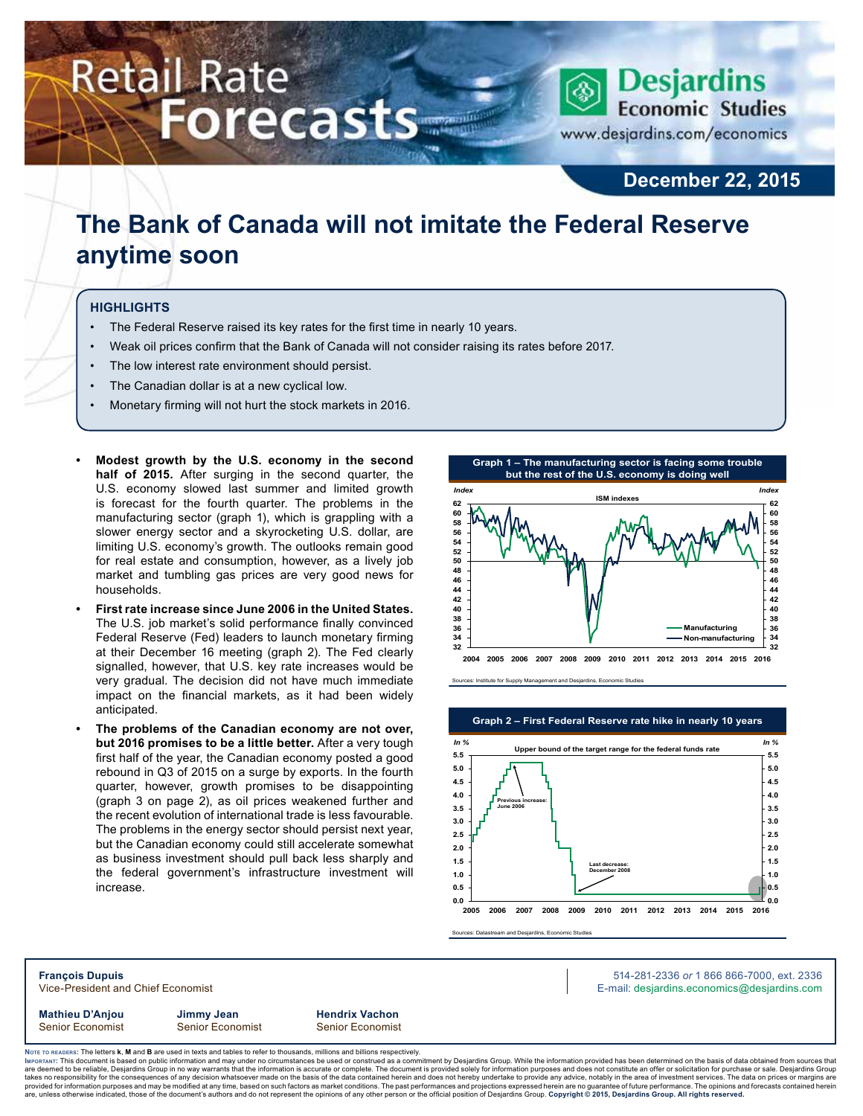# **Retail Rate Forecasts**



**December 22, 2015**

# **The Bank of Canada will not imitate the Federal Reserve anytime soon**

#### **Highlights**

- The Federal Reserve raised its key rates for the first time in nearly 10 years.
- Weak oil prices confirm that the Bank of Canada will not consider raising its rates before 2017.
- The low interest rate environment should persist.
- The Canadian dollar is at a new cyclical low.
- Monetary firming will not hurt the stock markets in 2016.
- **• Modest growth by the U.S. economy in the second half of 2015.** After surging in the second quarter, the U.S. economy slowed last summer and limited growth is forecast for the fourth quarter. The problems in the manufacturing sector (graph 1), which is grappling with a slower energy sector and a skyrocketing U.S. dollar, are limiting U.S. economy's growth. The outlooks remain good for real estate and consumption, however, as a lively job market and tumbling gas prices are very good news for households.
- **• First rate increase since June 2006 in the United States.** The U.S. job market's solid performance finally convinced Federal Reserve (Fed) leaders to launch monetary firming at their December 16 meeting (graph 2). The Fed clearly signalled, however, that U.S. key rate increases would be very gradual. The decision did not have much immediate impact on the financial markets, as it had been widely anticipated.
- **• The problems of the Canadian economy are not over, but 2016 promises to be a little better.** After a very tough first half of the year, the Canadian economy posted a good rebound in Q3 of 2015 on a surge by exports. In the fourth quarter, however, growth promises to be disappointing (graph 3 on page 2), as oil prices weakened further and the recent evolution of international trade is less favourable. The problems in the energy sector should persist next year, but the Canadian economy could still accelerate somewhat as business investment should pull back less sharply and the federal government's infrastructure investment will increase.



Sources: Institute for Supply Management and Desjardins, Economic Studies





**François Dupuis** 514-281-2336 *or* 1 866 866-7000, ext. 2336

Vice-President and Chief Economist **E-mail: designediate and Chief Economist** E-mail: designediate economics@desjardins.com

**Mathieu D'Anjou Jimmy Jean Hendrix Vachon**

Senior Economist Senior Economist Senior Economist

Noте то келоекs: The letters **k, M** and **B** are used in texts and tables to refer to thousands, millions and billions respectively.<br>Імроктлит: This document is based on public information and may under no circumstances be are deemed to be reliable, Desjardins Group in no way warrants that the information is accurate or complete. The document is provided solely for information purposes and does not constitute an offer or solicitation for pur takes no responsibility for the consequences of any decision whatsoever made on the basis of the data contained herein and does not hereby undertake to provide any advice, notably in the area of investment services. The da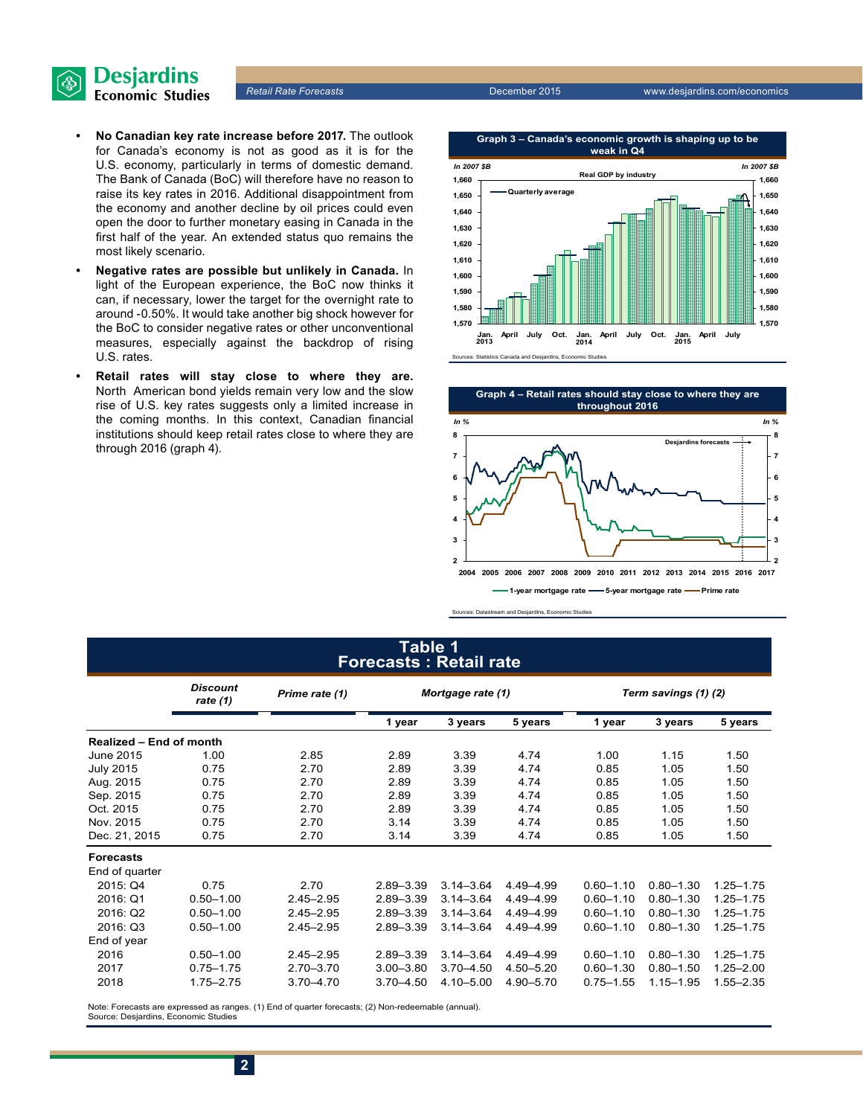

*Retail Rate Forecasts* December 2015 www.desjardins.com/economics

- **• No Canadian key rate increase before 2017.** The outlook for Canada's economy is not as good as it is for the U.S. economy, particularly in terms of domestic demand. The Bank of Canada (BoC) will therefore have no reason to raise its key rates in 2016. Additional disappointment from the economy and another decline by oil prices could even open the door to further monetary easing in Canada in the first half of the year. An extended status quo remains the most likely scenario.
- **• Negative rates are possible but unlikely in Canada.** In light of the European experience, the BoC now thinks it can, if necessary, lower the target for the overnight rate to around -0.50%. It would take another big shock however for the BoC to consider negative rates or other unconventional measures, especially against the backdrop of rising U.S. rates.
- **• Retail rates will stay close to where they are.** North American bond yields remain very low and the slow rise of U.S. key rates suggests only a limited increase in the coming months. In this context, Canadian financial institutions should keep retail rates close to where they are through 2016 (graph 4).





Sources: Datastream and Desjardins, Economic Studies

## **Table 1 Forecasts : Retail rate**

|                                | <b>Discount</b><br>rate (1) | Prime rate (1) | Mortgage rate (1) |               |               | Term savings (1) (2) |               |               |  |
|--------------------------------|-----------------------------|----------------|-------------------|---------------|---------------|----------------------|---------------|---------------|--|
|                                |                             |                | 1 year            | 3 years       | 5 years       | 1 year               | 3 years       | 5 years       |  |
| <b>Realized - End of month</b> |                             |                |                   |               |               |                      |               |               |  |
| June 2015                      | 1.00                        | 2.85           | 2.89              | 3.39          | 4.74          | 1.00                 | 1.15          | 1.50          |  |
| <b>July 2015</b>               | 0.75                        | 2.70           | 2.89              | 3.39          | 4.74          | 0.85                 | 1.05          | 1.50          |  |
| Aug. 2015                      | 0.75                        | 2.70           | 2.89              | 3.39          | 4.74          | 0.85                 | 1.05          | 1.50          |  |
| Sep. 2015                      | 0.75                        | 2.70           | 2.89              | 3.39          | 4.74          | 0.85                 | 1.05          | 1.50          |  |
| Oct. 2015                      | 0.75                        | 2.70           | 2.89              | 3.39          | 4.74          | 0.85                 | 1.05          | 1.50          |  |
| Nov. 2015                      | 0.75                        | 2.70           | 3.14              | 3.39          | 4.74          | 0.85                 | 1.05          | 1.50          |  |
| Dec. 21, 2015                  | 0.75                        | 2.70           | 3.14              | 3.39          | 4.74          | 0.85                 | 1.05          | 1.50          |  |
| <b>Forecasts</b>               |                             |                |                   |               |               |                      |               |               |  |
| End of quarter                 |                             |                |                   |               |               |                      |               |               |  |
| 2015: Q4                       | 0.75                        | 2.70           | $2.89 - 3.39$     | $3.14 - 3.64$ | 4.49 - 4.99   | $0.60 - 1.10$        | $0.80 - 1.30$ | $1.25 - 1.75$ |  |
| 2016: Q1                       | $0.50 - 1.00$               | $2.45 - 2.95$  | $2.89 - 3.39$     | $3.14 - 3.64$ | 4.49 - 4.99   | $0.60 - 1.10$        | $0.80 - 1.30$ | $1.25 - 1.75$ |  |
| 2016: Q2                       | $0.50 - 1.00$               | $2.45 - 2.95$  | $2.89 - 3.39$     | $3.14 - 3.64$ | 4.49 - 4.99   | $0.60 - 1.10$        | $0.80 - 1.30$ | $1.25 - 1.75$ |  |
| 2016: Q3                       | $0.50 - 1.00$               | $2.45 - 2.95$  | $2.89 - 3.39$     | $3.14 - 3.64$ | 4.49 - 4.99   | $0.60 - 1.10$        | $0.80 - 1.30$ | $1.25 - 1.75$ |  |
| End of year                    |                             |                |                   |               |               |                      |               |               |  |
| 2016                           | $0.50 - 1.00$               | $2.45 - 2.95$  | $2.89 - 3.39$     | $3.14 - 3.64$ | 4.49 - 4.99   | $0.60 - 1.10$        | $0.80 - 1.30$ | $1.25 - 1.75$ |  |
| 2017                           | $0.75 - 1.75$               | $2.70 - 3.70$  | $3.00 - 3.80$     | $3.70 - 4.50$ | $4.50 - 5.20$ | $0.60 - 1.30$        | $0.80 - 1.50$ | $1.25 - 2.00$ |  |
| 2018                           | 1.75-2.75                   | 3.70-4.70      | $3.70 - 4.50$     | 4.10-5.00     | 4.90-5.70     | $0.75 - 1.55$        | $1.15 - 1.95$ | $1.55 - 2.35$ |  |

Note: Forecasts are expressed as ranges. (1) End of quarter forecasts; (2) Non-redeemable (annual). Source: Desjardins, Economic Studies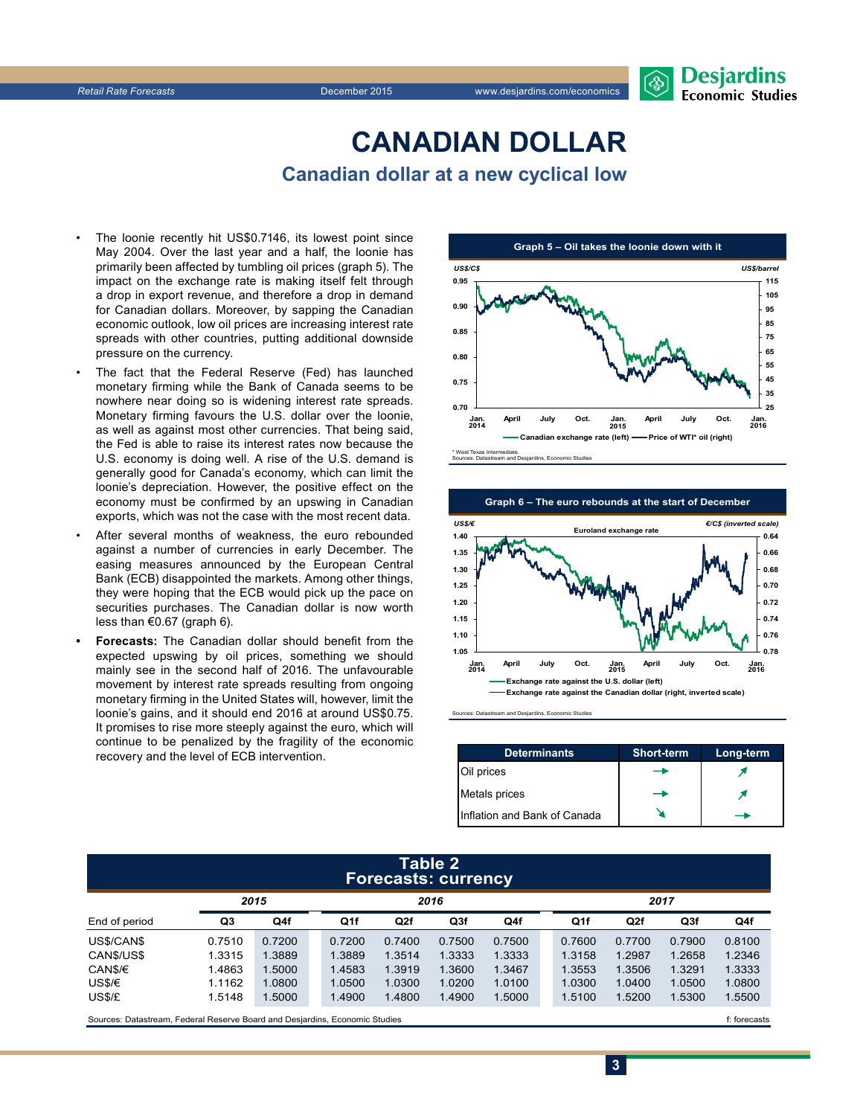

# **CanadiAn Dollar Canadian dollar at a new cyclical low**

- The loonie recently hit US\$0.7146, its lowest point since May 2004. Over the last year and a half, the loonie has primarily been affected by tumbling oil prices (graph 5). The impact on the exchange rate is making itself felt through a drop in export revenue, and therefore a drop in demand for Canadian dollars. Moreover, by sapping the Canadian economic outlook, low oil prices are increasing interest rate spreads with other countries, putting additional downside pressure on the currency.
- The fact that the Federal Reserve (Fed) has launched monetary firming while the Bank of Canada seems to be nowhere near doing so is widening interest rate spreads. Monetary firming favours the U.S. dollar over the loonie, as well as against most other currencies. That being said, the Fed is able to raise its interest rates now because the U.S. economy is doing well. A rise of the U.S. demand is generally good for Canada's economy, which can limit the loonie's depreciation. However, the positive effect on the economy must be confirmed by an upswing in Canadian exports, which was not the case with the most recent data.
- After several months of weakness, the euro rebounded against a number of currencies in early December. The easing measures announced by the European Central Bank (ECB) disappointed the markets. Among other things, they were hoping that the ECB would pick up the pace on securities purchases. The Canadian dollar is now worth less than €0.67 (graph 6).
- **• Forecasts:** The Canadian dollar should benefit from the expected upswing by oil prices, something we should mainly see in the second half of 2016. The unfavourable movement by interest rate spreads resulting from ongoing monetary firming in the United States will, however, limit the loonie's gains, and it should end 2016 at around US\$0.75. It promises to rise more steeply against the euro, which will continue to be penalized by the fragility of the economic recovery and the level of ECB intervention.





Sources: Datastream and Desjardins, Economic Studies

| <b>Determinants</b>          | <b>Short-term</b> | Long-term |
|------------------------------|-------------------|-----------|
| Oil prices                   |                   |           |
| <b>Metals</b> prices         |                   |           |
| Inflation and Bank of Canada |                   |           |

**3**

#### **Table 2 Forecasts: currency**

|               | 2015   |        | 2016            |        |        |        |  | 2017   |        |                 |        |
|---------------|--------|--------|-----------------|--------|--------|--------|--|--------|--------|-----------------|--------|
| End of period | Q3     | Q4f    | Q <sub>1f</sub> | Q2f    | Q3f    | Q4f    |  | Q1f    | Q2f    | Q <sub>3f</sub> | Q4f    |
| US\$/CAN\$    | 0.7510 | 0.7200 | 0.7200          | 0.7400 | 0.7500 | 0.7500 |  | 0.7600 | 0.7700 | 0.7900          | 0.8100 |
| CANS/USS      | 1.3315 | 1.3889 | 1.3889          | 1.3514 | 1.3333 | 1.3333 |  | 1.3158 | 1.2987 | 1.2658          | 1.2346 |
| CAN\$/€       | 1.4863 | 1.5000 | 1.4583          | 1.3919 | 1.3600 | 1.3467 |  | 1.3553 | 1.3506 | 1.3291          | 1.3333 |
| US\$/€        | 1.1162 | 1.0800 | 1.0500          | 1.0300 | 1.0200 | 1.0100 |  | 1.0300 | 1.0400 | 1.0500          | 1.0800 |
| US\$/£        | 1.5148 | 1.5000 | 1.4900          | 1.4800 | 1.4900 | 1.5000 |  | 1.5100 | 1.5200 | 1.5300          | 1.5500 |
|               |        |        |                 |        |        |        |  |        |        |                 |        |

Sources: Datastream, Federal Reserve Board and Desjardins, Economic Studies files for example of the studies files for example of the casts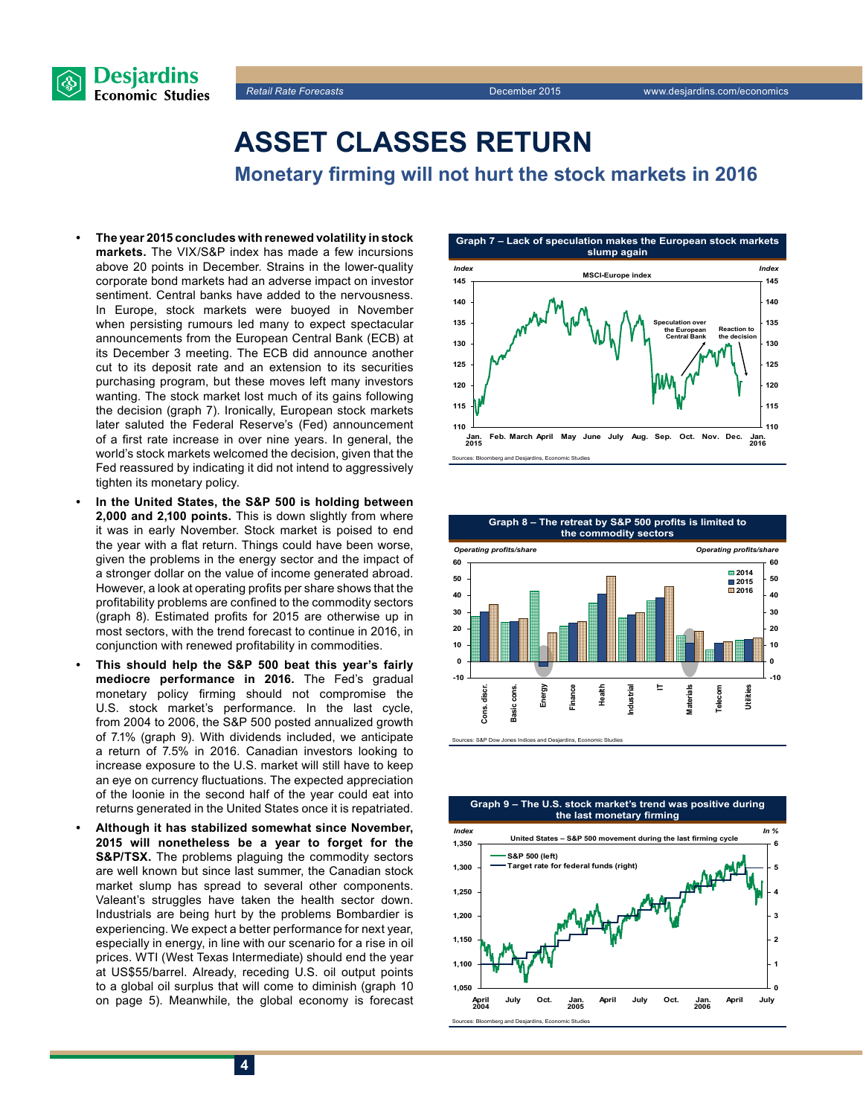



# **Asset classes return**

**Monetary firming will not hurt the stock markets in 2016**

- **• The year 2015 concludes with renewed volatility in stock markets.** The VIX/S&P index has made a few incursions above 20 points in December. Strains in the lower-quality corporate bond markets had an adverse impact on investor sentiment. Central banks have added to the nervousness. In Europe, stock markets were buoyed in November when persisting rumours led many to expect spectacular announcements from the European Central Bank (ECB) at its December 3 meeting. The ECB did announce another cut to its deposit rate and an extension to its securities purchasing program, but these moves left many investors wanting. The stock market lost much of its gains following the decision (graph 7). Ironically, European stock markets later saluted the Federal Reserve's (Fed) announcement of a first rate increase in over nine years. In general, the world's stock markets welcomed the decision, given that the Fed reassured by indicating it did not intend to aggressively tighten its monetary policy.
- **• In the United States, the S&P 500 is holding between 2,000 and 2,100 points.** This is down slightly from where it was in early November. Stock market is poised to end the year with a flat return. Things could have been worse, given the problems in the energy sector and the impact of a stronger dollar on the value of income generated abroad. However, a look at operating profits per share shows that the profitability problems are confined to the commodity sectors (graph 8). Estimated profits for 2015 are otherwise up in most sectors, with the trend forecast to continue in 2016, in conjunction with renewed profitability in commodities.
- **• This should help the S&P 500 beat this year's fairly mediocre performance in 2016.** The Fed's gradual monetary policy firming should not compromise the U.S. stock market's performance. In the last cycle, from 2004 to 2006, the S&P 500 posted annualized growth of 7.1% (graph 9). With dividends included, we anticipate a return of 7.5% in 2016. Canadian investors looking to increase exposure to the U.S. market will still have to keep an eye on currency fluctuations. The expected appreciation of the loonie in the second half of the year could eat into returns generated in the United States once it is repatriated.
- **• Although it has stabilized somewhat since November, 2015 will nonetheless be a year to forget for the S&P/TSX.** The problems plaguing the commodity sectors are well known but since last summer, the Canadian stock market slump has spread to several other components. Valeant's struggles have taken the health sector down. Industrials are being hurt by the problems Bombardier is experiencing. We expect a better performance for next year, especially in energy, in line with our scenario for a rise in oil prices. WTI (West Texas Intermediate) should end the year at US\$55/barrel. Already, receding U.S. oil output points to a global oil surplus that will come to diminish (graph 10 on page 5). Meanwhile, the global economy is forecast